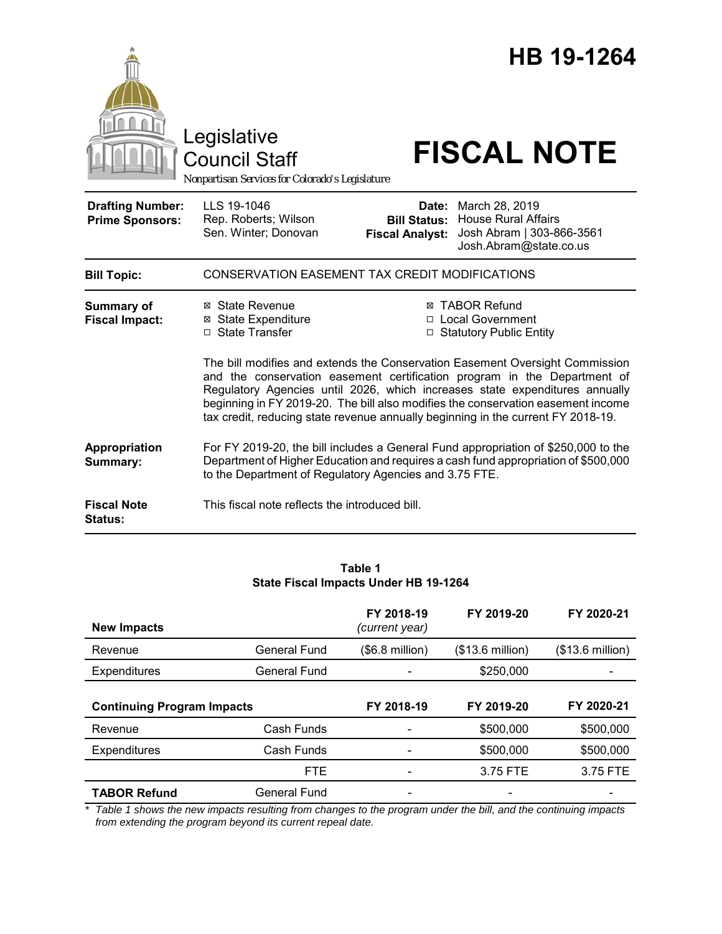|                                                   | Legislative<br><b>Council Staff</b><br>Nonpartisan Services for Colorado's Legislature                                                                                                                                                                                                                                                                                                                                                                                                                                                             |                                                        | HB 19-1264<br><b>FISCAL NOTE</b>                                                                    |  |  |
|---------------------------------------------------|----------------------------------------------------------------------------------------------------------------------------------------------------------------------------------------------------------------------------------------------------------------------------------------------------------------------------------------------------------------------------------------------------------------------------------------------------------------------------------------------------------------------------------------------------|--------------------------------------------------------|-----------------------------------------------------------------------------------------------------|--|--|
| <b>Drafting Number:</b><br><b>Prime Sponsors:</b> | LLS 19-1046<br>Rep. Roberts; Wilson<br>Sen. Winter; Donovan                                                                                                                                                                                                                                                                                                                                                                                                                                                                                        | Date:<br><b>Bill Status:</b><br><b>Fiscal Analyst:</b> | March 28, 2019<br><b>House Rural Affairs</b><br>Josh Abram   303-866-3561<br>Josh.Abram@state.co.us |  |  |
| <b>Bill Topic:</b>                                | CONSERVATION EASEMENT TAX CREDIT MODIFICATIONS                                                                                                                                                                                                                                                                                                                                                                                                                                                                                                     |                                                        |                                                                                                     |  |  |
| Summary of<br><b>Fiscal Impact:</b>               | ⊠ State Revenue<br>⊠ TABOR Refund<br>⊠ State Expenditure<br>□ Local Government<br>□ State Transfer<br>□ Statutory Public Entity<br>The bill modifies and extends the Conservation Easement Oversight Commission<br>and the conservation easement certification program in the Department of<br>Regulatory Agencies until 2026, which increases state expenditures annually<br>beginning in FY 2019-20. The bill also modifies the conservation easement income<br>tax credit, reducing state revenue annually beginning in the current FY 2018-19. |                                                        |                                                                                                     |  |  |
| Appropriation<br>Summary:                         | For FY 2019-20, the bill includes a General Fund appropriation of \$250,000 to the<br>Department of Higher Education and requires a cash fund appropriation of \$500,000<br>to the Department of Regulatory Agencies and 3.75 FTE.                                                                                                                                                                                                                                                                                                                 |                                                        |                                                                                                     |  |  |
| <b>Fiscal Note</b><br>Status:                     | This fiscal note reflects the introduced bill.                                                                                                                                                                                                                                                                                                                                                                                                                                                                                                     |                                                        |                                                                                                     |  |  |

#### **Table 1 State Fiscal Impacts Under HB 19-1264**

| <b>New Impacts</b>                |                     | FY 2018-19<br>(current year) | FY 2019-20       | FY 2020-21       |
|-----------------------------------|---------------------|------------------------------|------------------|------------------|
| Revenue                           | <b>General Fund</b> | $($6.8 \text{ million})$     | (\$13.6 million) | (\$13.6 million) |
| <b>Expenditures</b>               | General Fund        |                              | \$250,000        |                  |
| <b>Continuing Program Impacts</b> |                     | FY 2018-19                   | FY 2019-20       | FY 2020-21       |
| Revenue                           | Cash Funds          |                              | \$500,000        | \$500,000        |
| <b>Expenditures</b>               | Cash Funds          |                              | \$500,000        | \$500,000        |
|                                   | <b>FTE</b>          |                              | 3.75 FTE         | 3.75 FTE         |
| <b>TABOR Refund</b>               | General Fund        |                              |                  |                  |

*\* Table 1 shows the new impacts resulting from changes to the program under the bill, and the continuing impacts from extending the program beyond its current repeal date.*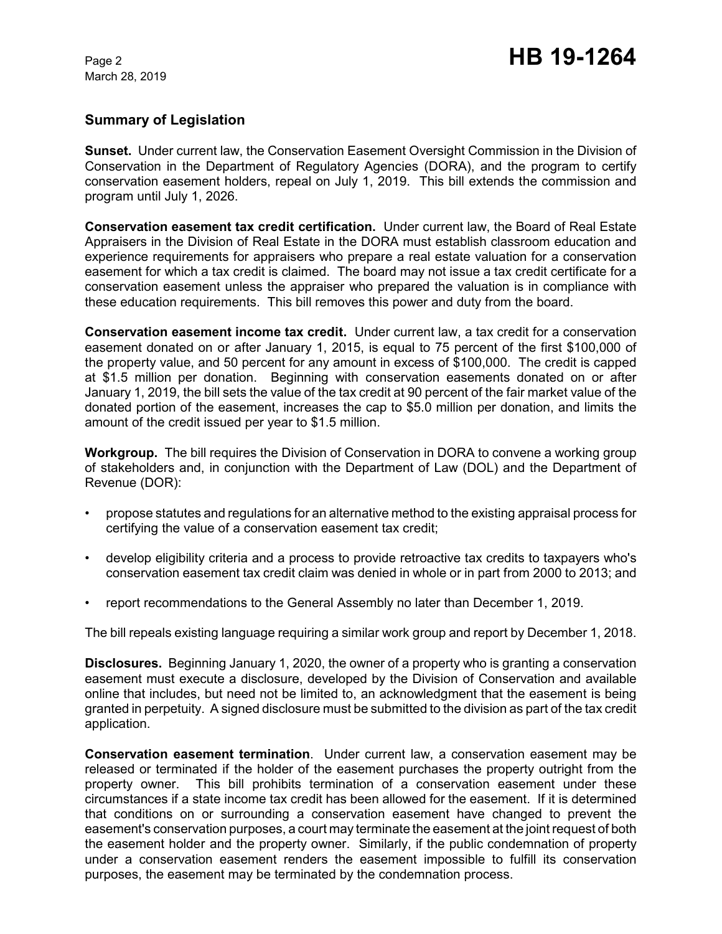March 28, 2019

# **Summary of Legislation**

**Sunset.** Under current law, the Conservation Easement Oversight Commission in the Division of Conservation in the Department of Regulatory Agencies (DORA), and the program to certify conservation easement holders, repeal on July 1, 2019. This bill extends the commission and program until July 1, 2026.

**Conservation easement tax credit certification.** Under current law, the Board of Real Estate Appraisers in the Division of Real Estate in the DORA must establish classroom education and experience requirements for appraisers who prepare a real estate valuation for a conservation easement for which a tax credit is claimed. The board may not issue a tax credit certificate for a conservation easement unless the appraiser who prepared the valuation is in compliance with these education requirements. This bill removes this power and duty from the board.

**Conservation easement income tax credit.** Under current law, a tax credit for a conservation easement donated on or after January 1, 2015, is equal to 75 percent of the first \$100,000 of the property value, and 50 percent for any amount in excess of \$100,000. The credit is capped at \$1.5 million per donation. Beginning with conservation easements donated on or after January 1, 2019, the bill sets the value of the tax credit at 90 percent of the fair market value of the donated portion of the easement, increases the cap to \$5.0 million per donation, and limits the amount of the credit issued per year to \$1.5 million.

**Workgroup.** The bill requires the Division of Conservation in DORA to convene a working group of stakeholders and, in conjunction with the Department of Law (DOL) and the Department of Revenue (DOR):

- propose statutes and regulations for an alternative method to the existing appraisal process for certifying the value of a conservation easement tax credit;
- develop eligibility criteria and a process to provide retroactive tax credits to taxpayers who's conservation easement tax credit claim was denied in whole or in part from 2000 to 2013; and
- report recommendations to the General Assembly no later than December 1, 2019.

The bill repeals existing language requiring a similar work group and report by December 1, 2018.

**Disclosures.** Beginning January 1, 2020, the owner of a property who is granting a conservation easement must execute a disclosure, developed by the Division of Conservation and available online that includes, but need not be limited to, an acknowledgment that the easement is being granted in perpetuity. A signed disclosure must be submitted to the division as part of the tax credit application.

**Conservation easement termination**. Under current law, a conservation easement may be released or terminated if the holder of the easement purchases the property outright from the property owner. This bill prohibits termination of a conservation easement under these circumstances if a state income tax credit has been allowed for the easement. If it is determined that conditions on or surrounding a conservation easement have changed to prevent the easement's conservation purposes, a court may terminate the easement at the joint request of both the easement holder and the property owner. Similarly, if the public condemnation of property under a conservation easement renders the easement impossible to fulfill its conservation purposes, the easement may be terminated by the condemnation process.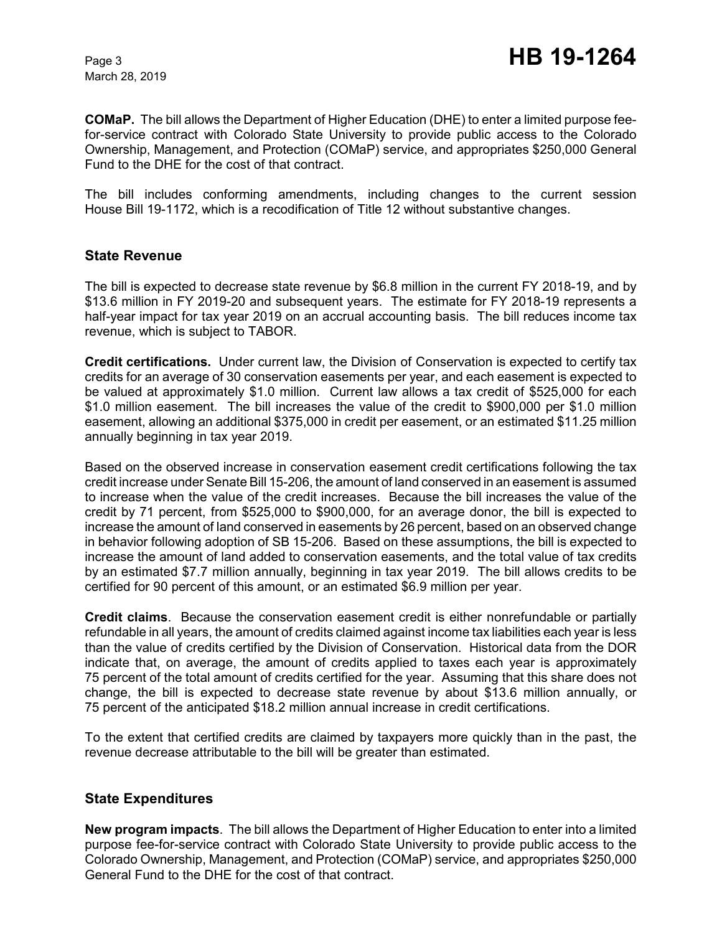March 28, 2019

**COMaP.** The bill allows the Department of Higher Education (DHE) to enter a limited purpose feefor-service contract with Colorado State University to provide public access to the Colorado Ownership, Management, and Protection (COMaP) service, and appropriates \$250,000 General Fund to the DHE for the cost of that contract.

The bill includes conforming amendments, including changes to the current session House Bill 19-1172, which is a recodification of Title 12 without substantive changes.

## **State Revenue**

The bill is expected to decrease state revenue by \$6.8 million in the current FY 2018-19, and by \$13.6 million in FY 2019-20 and subsequent years. The estimate for FY 2018-19 represents a half-year impact for tax year 2019 on an accrual accounting basis. The bill reduces income tax revenue, which is subject to TABOR.

**Credit certifications.** Under current law, the Division of Conservation is expected to certify tax credits for an average of 30 conservation easements per year, and each easement is expected to be valued at approximately \$1.0 million. Current law allows a tax credit of \$525,000 for each \$1.0 million easement. The bill increases the value of the credit to \$900,000 per \$1.0 million easement, allowing an additional \$375,000 in credit per easement, or an estimated \$11.25 million annually beginning in tax year 2019.

Based on the observed increase in conservation easement credit certifications following the tax credit increase under Senate Bill 15-206, the amount of land conserved in an easement is assumed to increase when the value of the credit increases. Because the bill increases the value of the credit by 71 percent, from \$525,000 to \$900,000, for an average donor, the bill is expected to increase the amount of land conserved in easements by 26 percent, based on an observed change in behavior following adoption of SB 15-206. Based on these assumptions, the bill is expected to increase the amount of land added to conservation easements, and the total value of tax credits by an estimated \$7.7 million annually, beginning in tax year 2019. The bill allows credits to be certified for 90 percent of this amount, or an estimated \$6.9 million per year.

**Credit claims**. Because the conservation easement credit is either nonrefundable or partially refundable in all years, the amount of credits claimed against income tax liabilities each year is less than the value of credits certified by the Division of Conservation. Historical data from the DOR indicate that, on average, the amount of credits applied to taxes each year is approximately 75 percent of the total amount of credits certified for the year. Assuming that this share does not change, the bill is expected to decrease state revenue by about \$13.6 million annually, or 75 percent of the anticipated \$18.2 million annual increase in credit certifications.

To the extent that certified credits are claimed by taxpayers more quickly than in the past, the revenue decrease attributable to the bill will be greater than estimated.

## **State Expenditures**

**New program impacts**. The bill allows the Department of Higher Education to enter into a limited purpose fee-for-service contract with Colorado State University to provide public access to the Colorado Ownership, Management, and Protection (COMaP) service, and appropriates \$250,000 General Fund to the DHE for the cost of that contract.